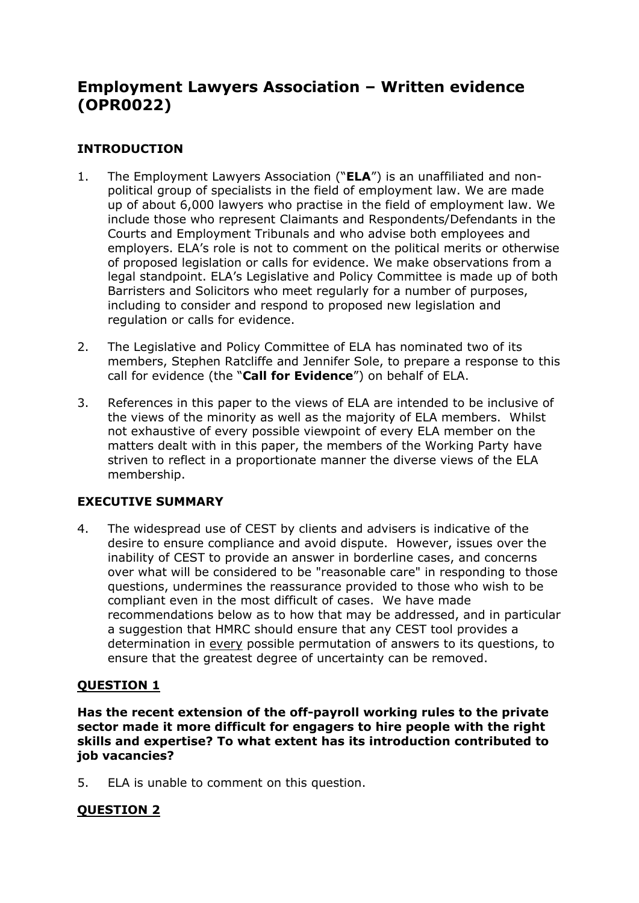# **Employment Lawyers Association – Written evidence (OPR0022)**

# **INTRODUCTION**

- 1. The Employment Lawyers Association ("**ELA**") is an unaffiliated and nonpolitical group of specialists in the field of employment law. We are made up of about 6,000 lawyers who practise in the field of employment law. We include those who represent Claimants and Respondents/Defendants in the Courts and Employment Tribunals and who advise both employees and employers. ELA's role is not to comment on the political merits or otherwise of proposed legislation or calls for evidence. We make observations from a legal standpoint. ELA's Legislative and Policy Committee is made up of both Barristers and Solicitors who meet regularly for a number of purposes, including to consider and respond to proposed new legislation and regulation or calls for evidence.
- 2. The Legislative and Policy Committee of ELA has nominated two of its members, Stephen Ratcliffe and Jennifer Sole, to prepare a response to this call for evidence (the "**Call for Evidence**") on behalf of ELA.
- 3. References in this paper to the views of ELA are intended to be inclusive of the views of the minority as well as the majority of ELA members. Whilst not exhaustive of every possible viewpoint of every ELA member on the matters dealt with in this paper, the members of the Working Party have striven to reflect in a proportionate manner the diverse views of the ELA membership.

# **EXECUTIVE SUMMARY**

4. The widespread use of CEST by clients and advisers is indicative of the desire to ensure compliance and avoid dispute. However, issues over the inability of CEST to provide an answer in borderline cases, and concerns over what will be considered to be "reasonable care" in responding to those questions, undermines the reassurance provided to those who wish to be compliant even in the most difficult of cases. We have made recommendations below as to how that may be addressed, and in particular a suggestion that HMRC should ensure that any CEST tool provides a determination in every possible permutation of answers to its questions, to ensure that the greatest degree of uncertainty can be removed.

# **QUESTION 1**

**Has the recent extension of the off-payroll working rules to the private sector made it more difficult for engagers to hire people with the right skills and expertise? To what extent has its introduction contributed to job vacancies?**

5. ELA is unable to comment on this question.

# **QUESTION 2**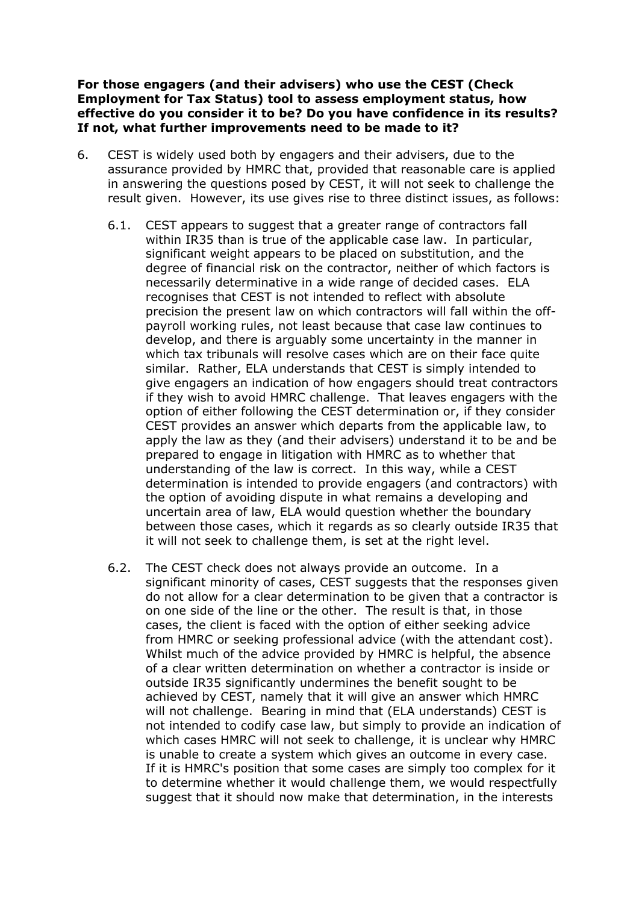#### **For those engagers (and their advisers) who use the CEST (Check Employment for Tax Status) tool to assess employment status, how effective do you consider it to be? Do you have confidence in its results? If not, what further improvements need to be made to it?**

- 6. CEST is widely used both by engagers and their advisers, due to the assurance provided by HMRC that, provided that reasonable care is applied in answering the questions posed by CEST, it will not seek to challenge the result given. However, its use gives rise to three distinct issues, as follows:
	- 6.1. CEST appears to suggest that a greater range of contractors fall within IR35 than is true of the applicable case law. In particular, significant weight appears to be placed on substitution, and the degree of financial risk on the contractor, neither of which factors is necessarily determinative in a wide range of decided cases. ELA recognises that CEST is not intended to reflect with absolute precision the present law on which contractors will fall within the offpayroll working rules, not least because that case law continues to develop, and there is arguably some uncertainty in the manner in which tax tribunals will resolve cases which are on their face quite similar. Rather, ELA understands that CEST is simply intended to give engagers an indication of how engagers should treat contractors if they wish to avoid HMRC challenge. That leaves engagers with the option of either following the CEST determination or, if they consider CEST provides an answer which departs from the applicable law, to apply the law as they (and their advisers) understand it to be and be prepared to engage in litigation with HMRC as to whether that understanding of the law is correct. In this way, while a CEST determination is intended to provide engagers (and contractors) with the option of avoiding dispute in what remains a developing and uncertain area of law, ELA would question whether the boundary between those cases, which it regards as so clearly outside IR35 that it will not seek to challenge them, is set at the right level.
	- 6.2. The CEST check does not always provide an outcome. In a significant minority of cases, CEST suggests that the responses given do not allow for a clear determination to be given that a contractor is on one side of the line or the other. The result is that, in those cases, the client is faced with the option of either seeking advice from HMRC or seeking professional advice (with the attendant cost). Whilst much of the advice provided by HMRC is helpful, the absence of a clear written determination on whether a contractor is inside or outside IR35 significantly undermines the benefit sought to be achieved by CEST, namely that it will give an answer which HMRC will not challenge. Bearing in mind that (ELA understands) CEST is not intended to codify case law, but simply to provide an indication of which cases HMRC will not seek to challenge, it is unclear why HMRC is unable to create a system which gives an outcome in every case. If it is HMRC's position that some cases are simply too complex for it to determine whether it would challenge them, we would respectfully suggest that it should now make that determination, in the interests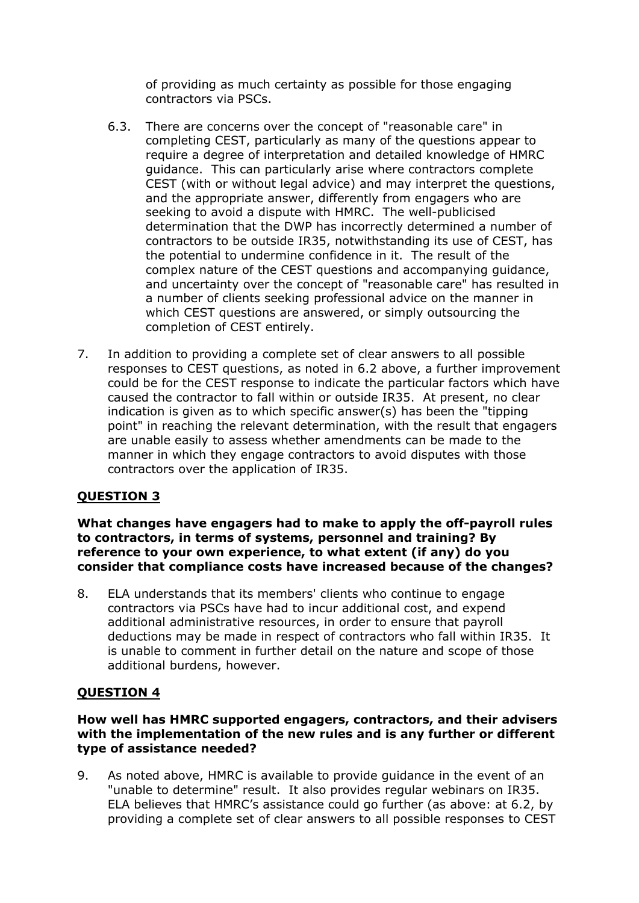of providing as much certainty as possible for those engaging contractors via PSCs.

- 6.3. There are concerns over the concept of "reasonable care" in completing CEST, particularly as many of the questions appear to require a degree of interpretation and detailed knowledge of HMRC guidance. This can particularly arise where contractors complete CEST (with or without legal advice) and may interpret the questions, and the appropriate answer, differently from engagers who are seeking to avoid a dispute with HMRC. The well-publicised determination that the DWP has incorrectly determined a number of contractors to be outside IR35, notwithstanding its use of CEST, has the potential to undermine confidence in it. The result of the complex nature of the CEST questions and accompanying guidance, and uncertainty over the concept of "reasonable care" has resulted in a number of clients seeking professional advice on the manner in which CEST questions are answered, or simply outsourcing the completion of CEST entirely.
- 7. In addition to providing a complete set of clear answers to all possible responses to CEST questions, as noted in 6.2 above, a further improvement could be for the CEST response to indicate the particular factors which have caused the contractor to fall within or outside IR35. At present, no clear indication is given as to which specific answer(s) has been the "tipping point" in reaching the relevant determination, with the result that engagers are unable easily to assess whether amendments can be made to the manner in which they engage contractors to avoid disputes with those contractors over the application of IR35.

# **QUESTION 3**

**What changes have engagers had to make to apply the off-payroll rules to contractors, in terms of systems, personnel and training? By reference to your own experience, to what extent (if any) do you consider that compliance costs have increased because of the changes?**

8. ELA understands that its members' clients who continue to engage contractors via PSCs have had to incur additional cost, and expend additional administrative resources, in order to ensure that payroll deductions may be made in respect of contractors who fall within IR35. It is unable to comment in further detail on the nature and scope of those additional burdens, however.

# **QUESTION 4**

### **How well has HMRC supported engagers, contractors, and their advisers with the implementation of the new rules and is any further or different type of assistance needed?**

9. As noted above, HMRC is available to provide guidance in the event of an "unable to determine" result. It also provides regular webinars on IR35. ELA believes that HMRC's assistance could go further (as above: at 6.2, by providing a complete set of clear answers to all possible responses to CEST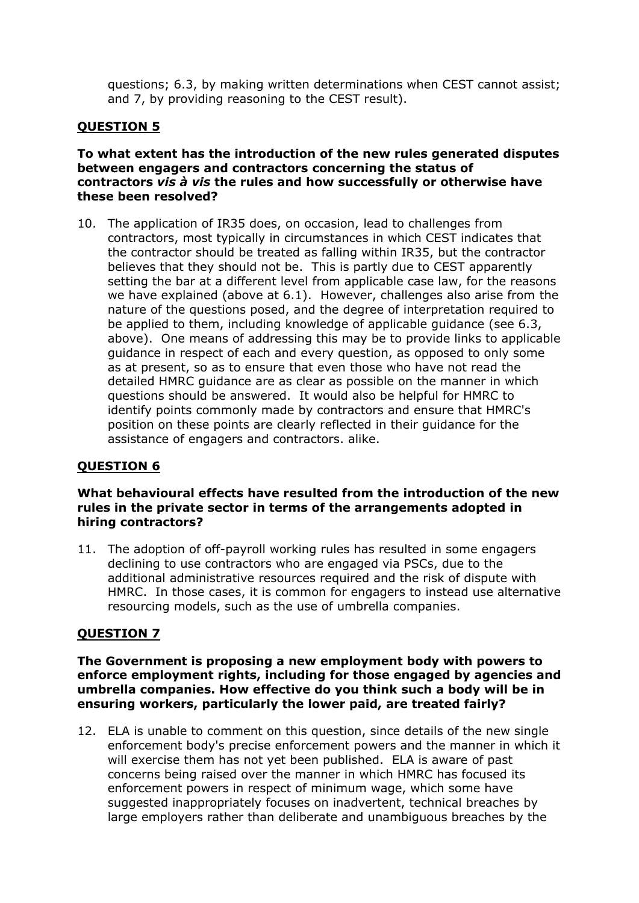questions; 6.3, by making written determinations when CEST cannot assist; and 7, by providing reasoning to the CEST result).

## **QUESTION 5**

### **To what extent has the introduction of the new rules generated disputes between engagers and contractors concerning the status of contractors** *vis à vis* **the rules and how successfully or otherwise have these been resolved?**

10. The application of IR35 does, on occasion, lead to challenges from contractors, most typically in circumstances in which CEST indicates that the contractor should be treated as falling within IR35, but the contractor believes that they should not be. This is partly due to CEST apparently setting the bar at a different level from applicable case law, for the reasons we have explained (above at 6.1). However, challenges also arise from the nature of the questions posed, and the degree of interpretation required to be applied to them, including knowledge of applicable guidance (see 6.3, above). One means of addressing this may be to provide links to applicable guidance in respect of each and every question, as opposed to only some as at present, so as to ensure that even those who have not read the detailed HMRC guidance are as clear as possible on the manner in which questions should be answered. It would also be helpful for HMRC to identify points commonly made by contractors and ensure that HMRC's position on these points are clearly reflected in their guidance for the assistance of engagers and contractors. alike.

## **QUESTION 6**

#### **What behavioural effects have resulted from the introduction of the new rules in the private sector in terms of the arrangements adopted in hiring contractors?**

11. The adoption of off-payroll working rules has resulted in some engagers declining to use contractors who are engaged via PSCs, due to the additional administrative resources required and the risk of dispute with HMRC. In those cases, it is common for engagers to instead use alternative resourcing models, such as the use of umbrella companies.

## **QUESTION 7**

### **The Government is proposing a new employment body with powers to enforce employment rights, including for those engaged by agencies and umbrella companies. How effective do you think such a body will be in ensuring workers, particularly the lower paid, are treated fairly?**

12. ELA is unable to comment on this question, since details of the new single enforcement body's precise enforcement powers and the manner in which it will exercise them has not yet been published. ELA is aware of past concerns being raised over the manner in which HMRC has focused its enforcement powers in respect of minimum wage, which some have suggested inappropriately focuses on inadvertent, technical breaches by large employers rather than deliberate and unambiguous breaches by the